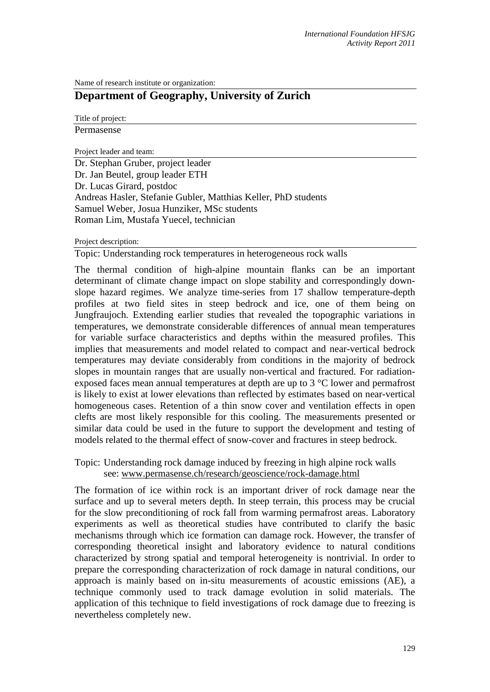Name of research institute or organization:

# **Department of Geography, University of Zurich**

Title of project:

Permasense

Project leader and team:

Dr. Stephan Gruber, project leader Dr. Jan Beutel, group leader ETH Dr. Lucas Girard, postdoc Andreas Hasler, Stefanie Gubler, Matthias Keller, PhD students Samuel Weber, Josua Hunziker, MSc students Roman Lim, Mustafa Yuecel, technician

### Project description:

Topic: Understanding rock temperatures in heterogeneous rock walls

The thermal condition of high-alpine mountain flanks can be an important determinant of climate change impact on slope stability and correspondingly downslope hazard regimes. We analyze time-series from 17 shallow temperature-depth profiles at two field sites in steep bedrock and ice, one of them being on Jungfraujoch. Extending earlier studies that revealed the topographic variations in temperatures, we demonstrate considerable differences of annual mean temperatures for variable surface characteristics and depths within the measured profiles. This implies that measurements and model related to compact and near-vertical bedrock temperatures may deviate considerably from conditions in the majority of bedrock slopes in mountain ranges that are usually non-vertical and fractured. For radiationexposed faces mean annual temperatures at depth are up to 3 °C lower and permafrost is likely to exist at lower elevations than reflected by estimates based on near-vertical homogeneous cases. Retention of a thin snow cover and ventilation effects in open clefts are most likely responsible for this cooling. The measurements presented or similar data could be used in the future to support the development and testing of models related to the thermal effect of snow-cover and fractures in steep bedrock.

## Topic: Understanding rock damage induced by freezing in high alpine rock walls see: [www.permasense.ch/research/geoscience/rock-damage.html](http://www.permasense.ch/research/geoscience/rock-damage.html)

The formation of ice within rock is an important driver of rock damage near the surface and up to several meters depth. In steep terrain, this process may be crucial for the slow preconditioning of rock fall from warming permafrost areas. Laboratory experiments as well as theoretical studies have contributed to clarify the basic mechanisms through which ice formation can damage rock. However, the transfer of corresponding theoretical insight and laboratory evidence to natural conditions characterized by strong spatial and temporal heterogeneity is nontrivial. In order to prepare the corresponding characterization of rock damage in natural conditions, our approach is mainly based on in-situ measurements of acoustic emissions (AE), a technique commonly used to track damage evolution in solid materials. The application of this technique to field investigations of rock damage due to freezing is nevertheless completely new.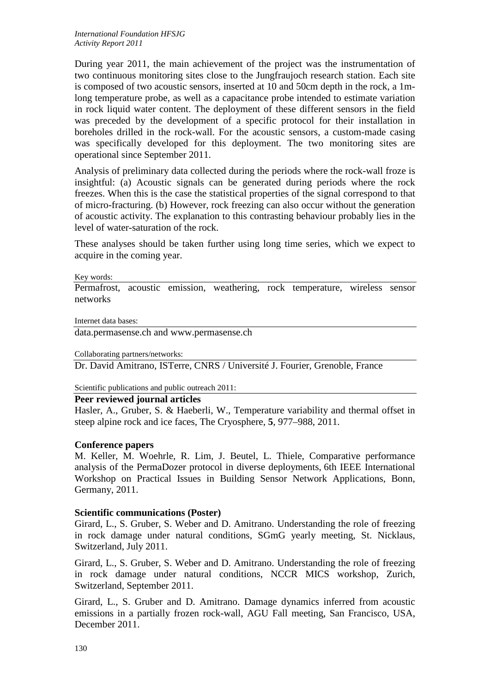During year 2011, the main achievement of the project was the instrumentation of two continuous monitoring sites close to the Jungfraujoch research station. Each site is composed of two acoustic sensors, inserted at 10 and 50cm depth in the rock, a 1mlong temperature probe, as well as a capacitance probe intended to estimate variation in rock liquid water content. The deployment of these different sensors in the field was preceded by the development of a specific protocol for their installation in boreholes drilled in the rock-wall. For the acoustic sensors, a custom-made casing was specifically developed for this deployment. The two monitoring sites are operational since September 2011.

Analysis of preliminary data collected during the periods where the rock-wall froze is insightful: (a) Acoustic signals can be generated during periods where the rock freezes. When this is the case the statistical properties of the signal correspond to that of micro-fracturing. (b) However, rock freezing can also occur without the generation of acoustic activity. The explanation to this contrasting behaviour probably lies in the level of water-saturation of the rock.

These analyses should be taken further using long time series, which we expect to acquire in the coming year.

#### Key words:

Permafrost, acoustic emission, weathering, rock temperature, wireless sensor networks

Internet data bases:

data.permasense.ch and www.permasense.ch

Collaborating partners/networks:

Dr. David Amitrano, ISTerre, CNRS / Université J. Fourier, Grenoble, France

Scientific publications and public outreach 2011:

### **Peer reviewed journal articles**

Hasler, A., Gruber, S. & Haeberli, W., Temperature variability and thermal offset in steep alpine rock and ice faces, The Cryosphere, **5**, 977–988, 2011.

### **Conference papers**

M. Keller, M. Woehrle, R. Lim, J. Beutel, L. Thiele, Comparative performance analysis of the PermaDozer protocol in diverse deployments, 6th IEEE International Workshop on Practical Issues in Building Sensor Network Applications, Bonn, Germany, 2011.

### **Scientific communications (Poster)**

Girard, L., S. Gruber, S. Weber and D. Amitrano. Understanding the role of freezing in rock damage under natural conditions, SGmG yearly meeting, St. Nicklaus, Switzerland, July 2011.

Girard, L., S. Gruber, S. Weber and D. Amitrano. Understanding the role of freezing in rock damage under natural conditions, NCCR MICS workshop, Zurich, Switzerland, September 2011.

Girard, L., S. Gruber and D. Amitrano. Damage dynamics inferred from acoustic emissions in a partially frozen rock-wall, AGU Fall meeting, San Francisco, USA, December 2011.